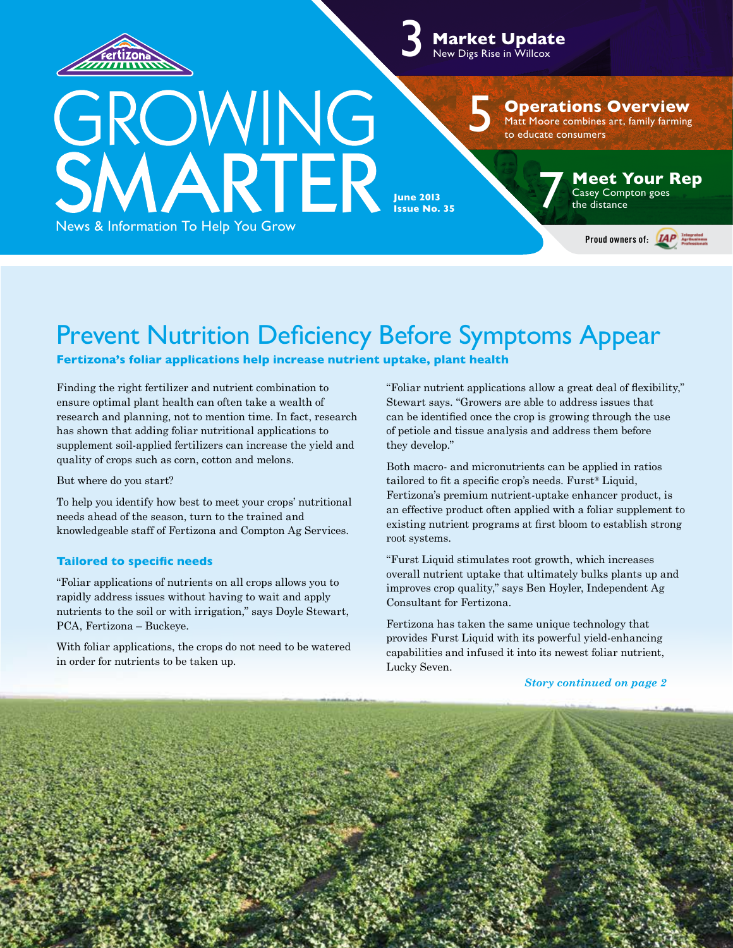

3 **Market Update** New Digs Rise in Willcox

5

**Operations Overview**

Matt Moore combines art, family farming to educate consumers

GROWING<br>SMARTER **June 2013 Issue No. 35** 

**Meet Your Rep**<br>
Casey Compton goes<br>
the distance

Proud owners of: *HAP* 

News & Information To Help You Grow

Prevent Nutrition Deficiency Before Symptoms Appear

**Fertizona's foliar applications help increase nutrient uptake, plant health**

Finding the right fertilizer and nutrient combination to ensure optimal plant health can often take a wealth of research and planning, not to mention time. In fact, research has shown that adding foliar nutritional applications to supplement soil-applied fertilizers can increase the yield and quality of crops such as corn, cotton and melons.

But where do you start?

To help you identify how best to meet your crops' nutritional needs ahead of the season, turn to the trained and knowledgeable staff of Fertizona and Compton Ag Services.

#### **Tailored to specific needs**

"Foliar applications of nutrients on all crops allows you to rapidly address issues without having to wait and apply nutrients to the soil or with irrigation," says Doyle Stewart, PCA, Fertizona – Buckeye.

With foliar applications, the crops do not need to be watered in order for nutrients to be taken up.

"Foliar nutrient applications allow a great deal of flexibility," Stewart says. "Growers are able to address issues that can be identified once the crop is growing through the use of petiole and tissue analysis and address them before they develop."

Both macro- and micronutrients can be applied in ratios tailored to fit a specific crop's needs. Furst® Liquid, Fertizona's premium nutrient-uptake enhancer product, is an effective product often applied with a foliar supplement to existing nutrient programs at first bloom to establish strong root systems.

"Furst Liquid stimulates root growth, which increases overall nutrient uptake that ultimately bulks plants up and improves crop quality," says Ben Hoyler, Independent Ag Consultant for Fertizona.

Fertizona has taken the same unique technology that provides Furst Liquid with its powerful yield-enhancing capabilities and infused it into its newest foliar nutrient, Lucky Seven.

#### *Story continued on page 2*

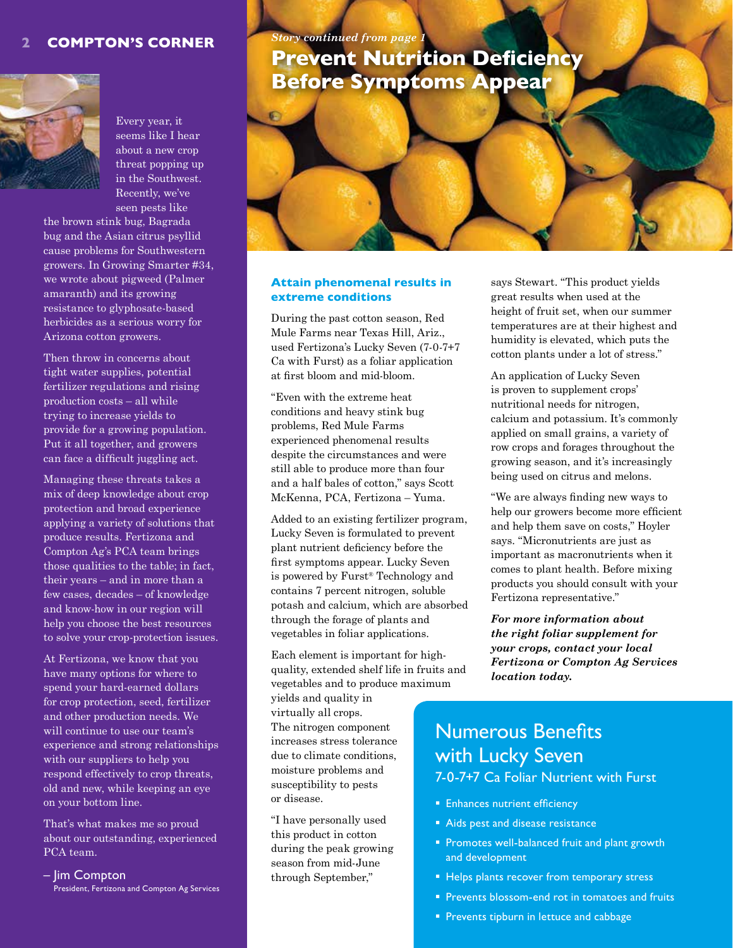#### **2 Compton's Corner**



Every year, it seems like I hear about a new crop threat popping up in the Southwest. Recently, we've seen pests like

the brown stink bug, Bagrada bug and the Asian citrus psyllid cause problems for Southwestern growers. In Growing Smarter #34, we wrote about pigweed (Palmer amaranth) and its growing resistance to glyphosate-based herbicides as a serious worry for Arizona cotton growers.

Then throw in concerns about tight water supplies, potential fertilizer regulations and rising production costs – all while trying to increase yields to provide for a growing population. Put it all together, and growers can face a difficult juggling act.

Managing these threats takes a mix of deep knowledge about crop protection and broad experience applying a variety of solutions that produce results. Fertizona and Compton Ag's PCA team brings those qualities to the table; in fact, their years – and in more than a few cases, decades – of knowledge and know-how in our region will help you choose the best resources to solve your crop-protection issues.

At Fertizona, we know that you have many options for where to spend your hard-earned dollars for crop protection, seed, fertilizer and other production needs. We will continue to use our team's experience and strong relationships with our suppliers to help you respond effectively to crop threats, old and new, while keeping an eye on your bottom line.

That's what makes me so proud about our outstanding, experienced PCA team.

– Jim Compton President, Fertizona and Compton Ag Services

# *Story continued from page* **Prevent Nutrition Deficiency Before Symptoms Appear**



#### **Attain phenomenal results in extreme conditions**

During the past cotton season, Red Mule Farms near Texas Hill, Ariz., used Fertizona's Lucky Seven (7-0-7+7 Ca with Furst) as a foliar application at first bloom and mid-bloom.

"Even with the extreme heat conditions and heavy stink bug problems, Red Mule Farms experienced phenomenal results despite the circumstances and were still able to produce more than four and a half bales of cotton," says Scott McKenna, PCA, Fertizona – Yuma.

Added to an existing fertilizer program, Lucky Seven is formulated to prevent plant nutrient deficiency before the first symptoms appear. Lucky Seven is powered by Furst® Technology and contains 7 percent nitrogen, soluble potash and calcium, which are absorbed through the forage of plants and vegetables in foliar applications.

Each element is important for highquality, extended shelf life in fruits and vegetables and to produce maximum

yields and quality in virtually all crops. The nitrogen component increases stress tolerance due to climate conditions, moisture problems and susceptibility to pests or disease.

"I have personally used this product in cotton during the peak growing season from mid-June through September,"

says Stewart. "This product yields great results when used at the height of fruit set, when our summer temperatures are at their highest and humidity is elevated, which puts the cotton plants under a lot of stress."

An application of Lucky Seven is proven to supplement crops' nutritional needs for nitrogen, calcium and potassium. It's commonly applied on small grains, a variety of row crops and forages throughout the growing season, and it's increasingly being used on citrus and melons.

"We are always finding new ways to help our growers become more efficient and help them save on costs," Hoyler says. "Micronutrients are just as important as macronutrients when it comes to plant health. Before mixing products you should consult with your Fertizona representative."

*For more information about the right foliar supplement for your crops, contact your local Fertizona or Compton Ag Services location today.*

# Numerous Benefits with Lucky Seven 7-0-7+7 Ca Foliar Nutrient with Furst

- **Enhances nutrient efficiency**
- Aids pest and disease resistance
- **Promotes well-balanced fruit and plant growth** and development
- **Helps plants recover from temporary stress**
- **Prevents blossom-end rot in tomatoes and fruits**
- **Prevents tipburn in lettuce and cabbage**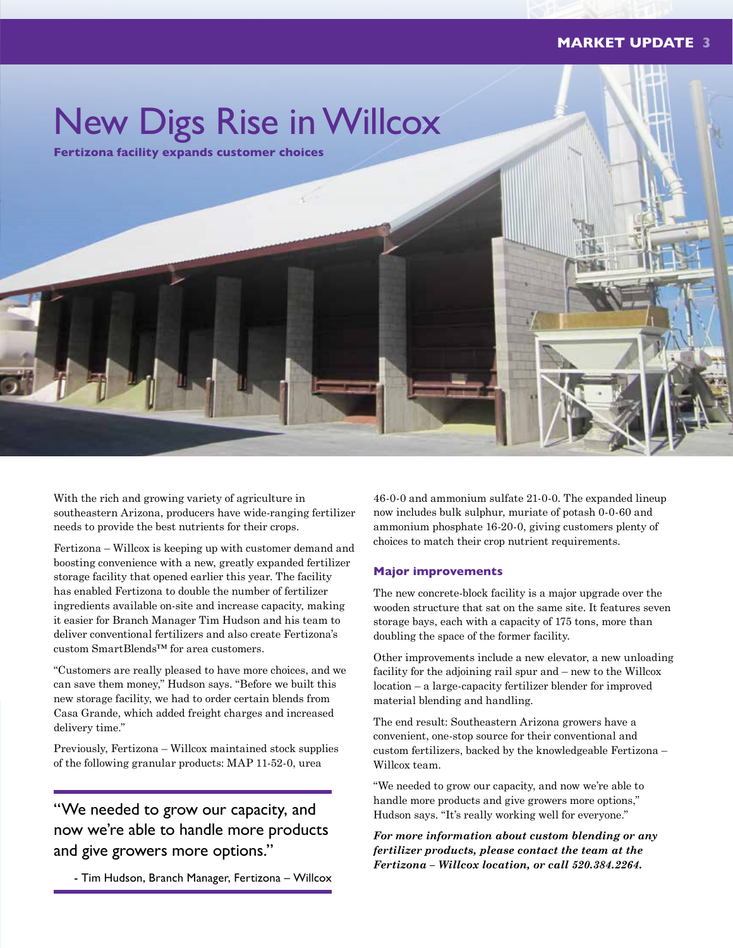

With the rich and growing variety of agriculture in southeastern Arizona, producers have wide-ranging fertilizer needs to provide the best nutrients for their crops.

Fertizona – Willcox is keeping up with customer demand and boosting convenience with a new, greatly expanded fertilizer storage facility that opened earlier this year. The facility has enabled Fertizona to double the number of fertilizer ingredients available on-site and increase capacity, making it easier for Branch Manager Tim Hudson and his team to deliver conventional fertilizers and also create Fertizona's custom SmartBlends™ for area customers.

"Customers are really pleased to have more choices, and we can save them money," Hudson says. "Before we built this new storage facility, we had to order certain blends from Casa Grande, which added freight charges and increased delivery time."

Previously, Fertizona – Willcox maintained stock supplies of the following granular products: MAP 11-52-0, urea

"We needed to grow our capacity, and now we're able to handle more products and give growers more options."

- Tim Hudson, Branch Manager, Fertizona – Willcox

46-0-0 and ammonium sulfate 21-0-0. The expanded lineup now includes bulk sulphur, muriate of potash 0-0-60 and ammonium phosphate 16-20-0, giving customers plenty of choices to match their crop nutrient requirements.

#### **Major improvements**

The new concrete-block facility is a major upgrade over the wooden structure that sat on the same site. It features seven storage bays, each with a capacity of 175 tons, more than doubling the space of the former facility.

Other improvements include a new elevator, a new unloading facility for the adjoining rail spur and – new to the Willcox location – a large-capacity fertilizer blender for improved material blending and handling.

The end result: Southeastern Arizona growers have a convenient, one-stop source for their conventional and custom fertilizers, backed by the knowledgeable Fertizona – Willcox team.

"We needed to grow our capacity, and now we're able to handle more products and give growers more options," Hudson says. "It's really working well for everyone."

*For more information about custom blending or any fertilizer products, please contact the team at the Fertizona – Willcox location, or call 520.384.2264.*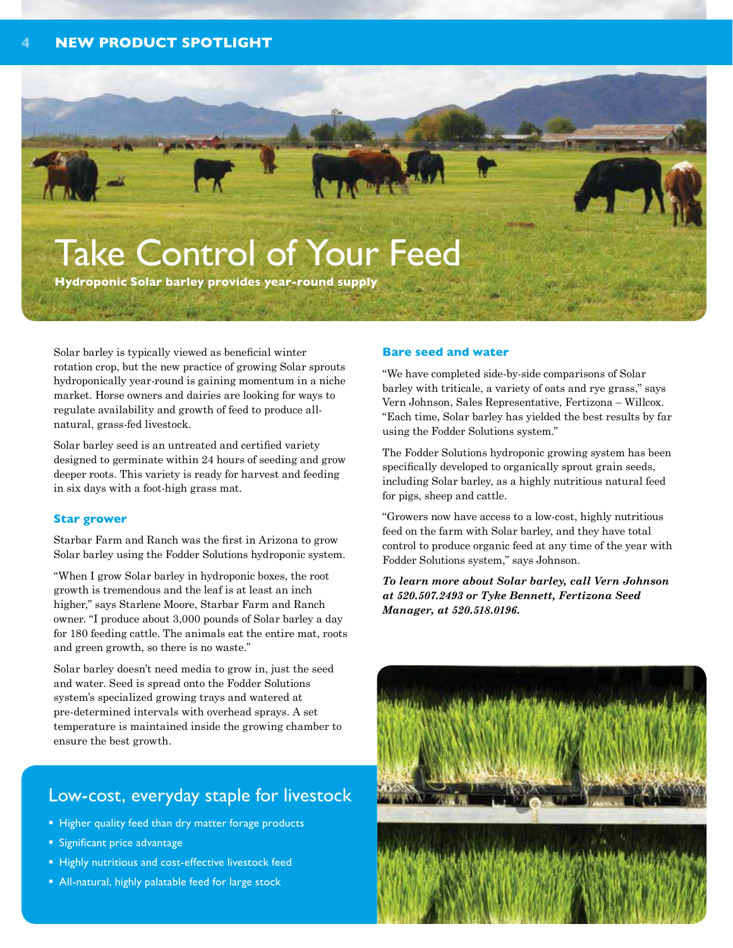# Take Control of Your Feed

**Hydroponic Solar barley provides year-round supply**

Solar barley is typically viewed as beneficial winter rotation crop, but the new practice of growing Solar sprouts hydroponically year-round is gaining momentum in a niche market. Horse owners and dairies are looking for ways to regulate availability and growth of feed to produce allnatural, grass-fed livestock.

Solar barley seed is an untreated and certified variety designed to germinate within 24 hours of seeding and grow deeper roots. This variety is ready for harvest and feeding in six days with a foot-high grass mat.

#### **Star grower**

Starbar Farm and Ranch was the first in Arizona to grow Solar barley using the Fodder Solutions hydroponic system.

"When I grow Solar barley in hydroponic boxes, the root growth is tremendous and the leaf is at least an inch higher," says Starlene Moore, Starbar Farm and Ranch owner. "I produce about 3,000 pounds of Solar barley a day for 180 feeding cattle. The animals eat the entire mat, roots and green growth, so there is no waste."

Solar barley doesn't need media to grow in, just the seed and water. Seed is spread onto the Fodder Solutions system's specialized growing trays and watered at pre-determined intervals with overhead sprays. A set temperature is maintained inside the growing chamber to ensure the best growth.

## Low-cost, everyday staple for livestock

- Higher quality feed than dry matter forage products
- **Significant price advantage**
- **Highly nutritious and cost-effective livestock feed**
- All-natural, highly palatable feed for large stock

#### **Bare seed and water**

"We have completed side-by-side comparisons of Solar barley with triticale, a variety of oats and rye grass," says Vern Johnson, Sales Representative, Fertizona – Willcox. "Each time, Solar barley has yielded the best results by far using the Fodder Solutions system."

The Fodder Solutions hydroponic growing system has been specifically developed to organically sprout grain seeds, including Solar barley, as a highly nutritious natural feed for pigs, sheep and cattle.

"Growers now have access to a low-cost, highly nutritious feed on the farm with Solar barley, and they have total control to produce organic feed at any time of the year with Fodder Solutions system," says Johnson.

*To learn more about Solar barley, call Vern Johnson at 520.507.2493 or Tyke Bennett, Fertizona Seed Manager, at 520.518.0196.* 

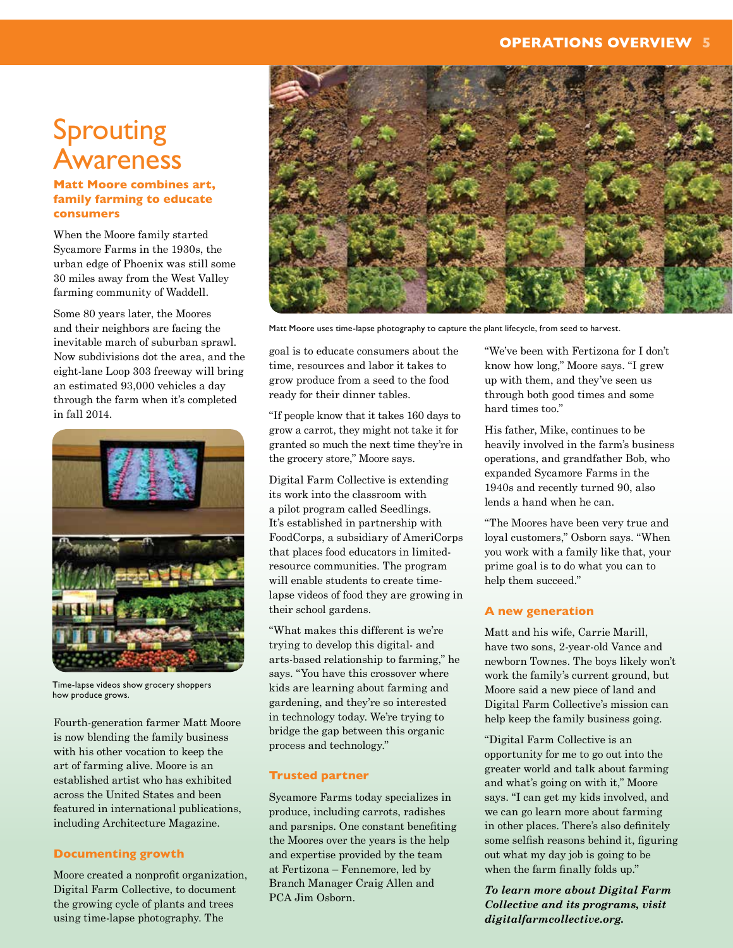#### **OPERATIONS OVERVIEW 5**

# Sprouting Awareness

**Matt Moore combines art, family farming to educate consumers**

When the Moore family started Sycamore Farms in the 1930s, the urban edge of Phoenix was still some 30 miles away from the West Valley farming community of Waddell.

Some 80 years later, the Moores and their neighbors are facing the inevitable march of suburban sprawl. Now subdivisions dot the area, and the eight-lane Loop 303 freeway will bring an estimated 93,000 vehicles a day through the farm when it's completed in fall 2014.



Time-lapse videos show grocery shoppers how produce grows.

Fourth-generation farmer Matt Moore is now blending the family business with his other vocation to keep the art of farming alive. Moore is an established artist who has exhibited across the United States and been featured in international publications, including Architecture Magazine.

#### **Documenting growth**

Moore created a nonprofit organization, Digital Farm Collective, to document the growing cycle of plants and trees using time-lapse photography. The



Matt Moore uses time-lapse photography to capture the plant lifecycle, from seed to harvest.

goal is to educate consumers about the time, resources and labor it takes to grow produce from a seed to the food ready for their dinner tables.

"If people know that it takes 160 days to grow a carrot, they might not take it for granted so much the next time they're in the grocery store," Moore says.

Digital Farm Collective is extending its work into the classroom with a pilot program called Seedlings. It's established in partnership with FoodCorps, a subsidiary of AmeriCorps that places food educators in limitedresource communities. The program will enable students to create timelapse videos of food they are growing in their school gardens.

"What makes this different is we're trying to develop this digital- and arts-based relationship to farming," he says. "You have this crossover where kids are learning about farming and gardening, and they're so interested in technology today. We're trying to bridge the gap between this organic process and technology."

#### **Trusted partner**

Sycamore Farms today specializes in produce, including carrots, radishes and parsnips. One constant benefiting the Moores over the years is the help and expertise provided by the team at Fertizona – Fennemore, led by Branch Manager Craig Allen and PCA Jim Osborn.

"We've been with Fertizona for I don't know how long," Moore says. "I grew up with them, and they've seen us through both good times and some hard times too."

His father, Mike, continues to be heavily involved in the farm's business operations, and grandfather Bob, who expanded Sycamore Farms in the 1940s and recently turned 90, also lends a hand when he can.

"The Moores have been very true and loyal customers," Osborn says. "When you work with a family like that, your prime goal is to do what you can to help them succeed."

#### **A new generation**

Matt and his wife, Carrie Marill, have two sons, 2-year-old Vance and newborn Townes. The boys likely won't work the family's current ground, but Moore said a new piece of land and Digital Farm Collective's mission can help keep the family business going.

"Digital Farm Collective is an opportunity for me to go out into the greater world and talk about farming and what's going on with it," Moore says. "I can get my kids involved, and we can go learn more about farming in other places. There's also definitely some selfish reasons behind it, figuring out what my day job is going to be when the farm finally folds up."

*To learn more about Digital Farm Collective and its programs, visit digitalfarmcollective.org.*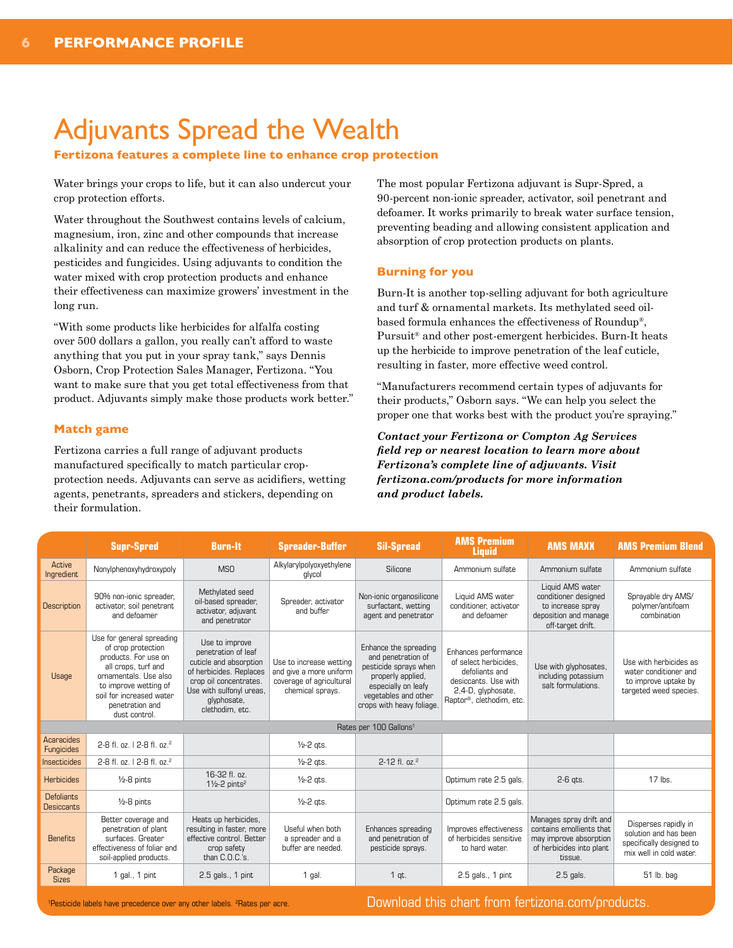# Adjuvants Spread the Wealth

#### **Fertizona features a complete line to enhance crop protection**

Water brings your crops to life, but it can also undercut your crop protection efforts.

Water throughout the Southwest contains levels of calcium, magnesium, iron, zinc and other compounds that increase alkalinity and can reduce the effectiveness of herbicides, pesticides and fungicides. Using adjuvants to condition the water mixed with crop protection products and enhance their effectiveness can maximize growers' investment in the long run.

"With some products like herbicides for alfalfa costing over 500 dollars a gallon, you really can't afford to waste anything that you put in your spray tank," says Dennis Osborn, Crop Protection Sales Manager, Fertizona. "You want to make sure that you get total effectiveness from that product. Adjuvants simply make those products work better."

#### **Match game**

Fertizona carries a full range of adjuvant products manufactured specifically to match particular cropprotection needs. Adjuvants can serve as acidifiers, wetting agents, penetrants, spreaders and stickers, depending on their formulation.

The most popular Fertizona adjuvant is Supr-Spred, a 90-percent non-ionic spreader, activator, soil penetrant and defoamer. It works primarily to break water surface tension, preventing beading and allowing consistent application and absorption of crop protection products on plants.

#### **Burning for you**

Burn-It is another top-selling adjuvant for both agriculture and turf & ornamental markets. Its methylated seed oilbased formula enhances the effectiveness of Roundup®, Pursuit® and other post-emergent herbicides. Burn-It heats up the herbicide to improve penetration of the leaf cuticle, resulting in faster, more effective weed control.

"Manufacturers recommend certain types of adjuvants for their products," Osborn says. "We can help you select the proper one that works best with the product you're spraying."

*Contact your Fertizona or Compton Ag Services field rep or nearest location to learn more about Fertizona's complete line of adjuvants. Visit fertizona.com/products for more information and product labels.*

|                                        | <b>Supr-Spred</b>                                                                                                                                                                                                | <b>Burn-It</b>                                                                                                                                                                     | <b>Spreader-Buffer</b>                                                                             | <b>Sil-Spread</b>                                                                                                                                                     | <b>AMS Premium</b><br><b>Liquid</b>                                                                                                       | <b>AMS MAXX</b>                                                                                                      | <b>AMS Premium Blend</b>                                                                             |
|----------------------------------------|------------------------------------------------------------------------------------------------------------------------------------------------------------------------------------------------------------------|------------------------------------------------------------------------------------------------------------------------------------------------------------------------------------|----------------------------------------------------------------------------------------------------|-----------------------------------------------------------------------------------------------------------------------------------------------------------------------|-------------------------------------------------------------------------------------------------------------------------------------------|----------------------------------------------------------------------------------------------------------------------|------------------------------------------------------------------------------------------------------|
| Active<br>Ingredient                   | Nonylphenoxyhydroxypoly                                                                                                                                                                                          | <b>MSO</b>                                                                                                                                                                         | Alkylarylpolyoxyethylene<br>glycol                                                                 | Silicone                                                                                                                                                              | Ammonium sulfate                                                                                                                          | Ammonium sulfate                                                                                                     | Ammonium sulfate                                                                                     |
| Description                            | 90% non-ionic spreader,<br>activator, soil penetrant<br>and defoamer                                                                                                                                             | Methylated seed<br>oil-based spreader,<br>activator, adjuvant<br>and penetrator                                                                                                    | Spreader, activator<br>and buffer                                                                  | Non-ionic organosilicone<br>surfactant, wetting<br>agent and penetrator                                                                                               | Liquid AMS water<br>conditioner, activator<br>and defoamer                                                                                | Liquid AMS water<br>conditioner designed<br>to increase spray<br>deposition and manage<br>off-target drift.          | Sprayable dry AMS/<br>polymer/antifoam<br>combination                                                |
| <b>Usage</b>                           | Use for general spreading<br>of crop protection<br>products. For use on<br>all crops, turf and<br>ornamentals. Use also<br>to improve wetting of<br>soil for increased water<br>penetration and<br>dust control. | Use to improve<br>penetration of leaf<br>cuticle and absorption<br>of herbicides. Replaces<br>crop oil concentrates.<br>Use with sulfonyl ureas,<br>glyphosate,<br>clethodim, etc. | Use to increase wetting<br>and give a more uniform<br>coverage of agricultural<br>chemical sprays. | Enhance the spreading<br>and penetration of<br>pesticide sprays when<br>properly applied,<br>especially on leafy<br>vegetables and other<br>crops with heavy foliage. | Enhances performance<br>of select herbicides.<br>defoliants and<br>desiccants. Use with<br>2,4-D, glyphosate,<br>Raptor®, clethodim, etc. | Use with glyphosates,<br>including potassium<br>salt formulations.                                                   | Use with herbicides as<br>water conditioner and<br>to improve uptake by<br>targeted weed species.    |
| Rates per 100 Gallons <sup>1</sup>     |                                                                                                                                                                                                                  |                                                                                                                                                                                    |                                                                                                    |                                                                                                                                                                       |                                                                                                                                           |                                                                                                                      |                                                                                                      |
| Acaracides<br>Fungicides               | 2-8 fl. oz.   2-8 fl. oz. <sup>2</sup>                                                                                                                                                                           |                                                                                                                                                                                    | $\frac{1}{2}$ -2 qts.                                                                              |                                                                                                                                                                       |                                                                                                                                           |                                                                                                                      |                                                                                                      |
| Insecticides                           | 2-8 fl. oz.   2-8 fl. oz. <sup>2</sup>                                                                                                                                                                           |                                                                                                                                                                                    | $\frac{1}{2}$ -2 ats.                                                                              | 2-12 fl. $oz^2$                                                                                                                                                       |                                                                                                                                           |                                                                                                                      |                                                                                                      |
| <b>Herbicides</b>                      | $1/2 - 8$ pints                                                                                                                                                                                                  | 16-32 fl. oz.<br>$1\frac{1}{2}$ -2 pints <sup>2</sup>                                                                                                                              | $\frac{1}{2}$ -2 qts.                                                                              |                                                                                                                                                                       | Optimum rate 2.5 gals.                                                                                                                    | $2-6$ ats.                                                                                                           | 17 lbs.                                                                                              |
| <b>Defoliants</b><br><b>Desiccants</b> | $1/2 - 8$ pints                                                                                                                                                                                                  |                                                                                                                                                                                    | $\frac{1}{2}$ -2 qts.                                                                              |                                                                                                                                                                       | Optimum rate 2.5 gals.                                                                                                                    |                                                                                                                      |                                                                                                      |
| <b>Benefits</b>                        | Better coverage and<br>penetration of plant<br>surfaces. Greater<br>effectiveness of foliar and<br>soil-applied products.                                                                                        | Heats up herbicides,<br>resulting in faster, more<br>effective control. Better<br>crop safety<br>than C.O.C.'s.                                                                    | Useful when both<br>a spreader and a<br>buffer are needed.                                         | Enhances spreading<br>and penetration of<br>pesticide sprays.                                                                                                         | Improves effectiveness<br>of herbicides sensitive<br>to hard water.                                                                       | Manages spray drift and<br>contains emollients that<br>may improve absorption<br>of herbicides into plant<br>tissue. | Disperses rapidly in<br>solution and has been<br>specifically designed to<br>mix well in cold water. |
| Package<br><b>Sizes</b>                | $1$ gal., $1$ pint                                                                                                                                                                                               | $2.5$ gals., 1 pint                                                                                                                                                                | 1 gal.                                                                                             | $1$ qt.                                                                                                                                                               | 2.5 gals., 1 pint                                                                                                                         | $2.5$ gals.                                                                                                          | 51 lb. bag                                                                                           |

Download this chart from fertizona.com/products.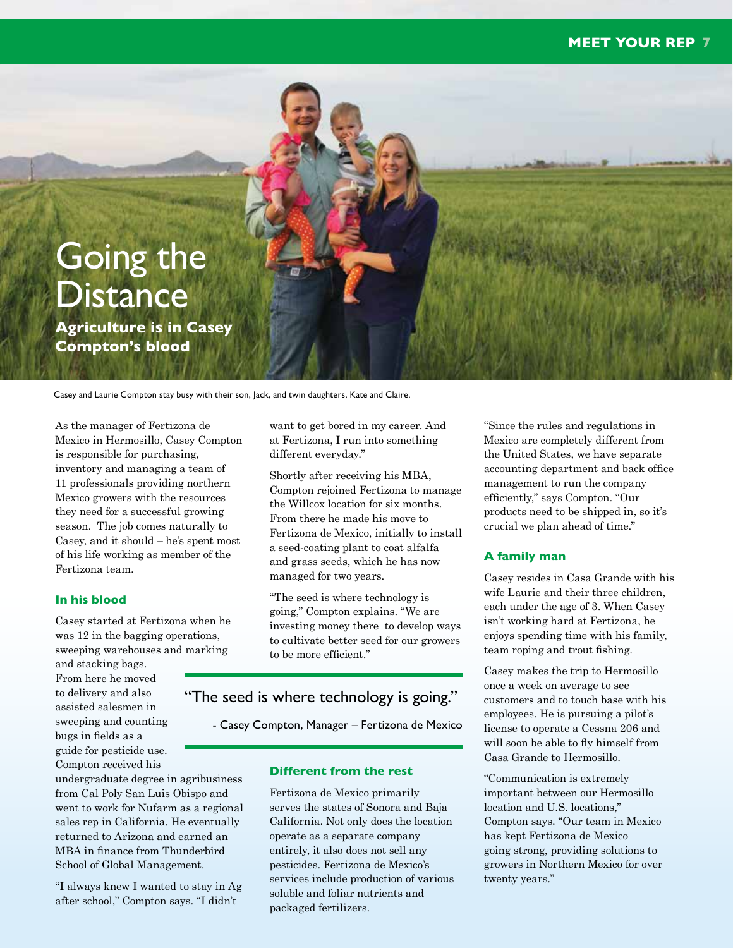### **MEET YOUR REP 7**



Casey and Laurie Compton stay busy with their son, Jack, and twin daughters, Kate and Claire.

As the manager of Fertizona de Mexico in Hermosillo, Casey Compton is responsible for purchasing, inventory and managing a team of 11 professionals providing northern Mexico growers with the resources they need for a successful growing season. The job comes naturally to Casey, and it should – he's spent most of his life working as member of the Fertizona team.

#### **In his blood**

Casey started at Fertizona when he was 12 in the bagging operations, sweeping warehouses and marking

and stacking bags. From here he moved to delivery and also assisted salesmen in sweeping and counting bugs in fields as a guide for pesticide use. Compton received his

undergraduate degree in agribusiness from Cal Poly San Luis Obispo and went to work for Nufarm as a regional sales rep in California. He eventually returned to Arizona and earned an MBA in finance from Thunderbird School of Global Management.

"I always knew I wanted to stay in Ag after school," Compton says. "I didn't

want to get bored in my career. And at Fertizona, I run into something different everyday."

Shortly after receiving his MBA, Compton rejoined Fertizona to manage the Willcox location for six months. From there he made his move to Fertizona de Mexico, initially to install a seed-coating plant to coat alfalfa and grass seeds, which he has now managed for two years.

"The seed is where technology is going," Compton explains. "We are investing money there to develop ways to cultivate better seed for our growers to be more efficient."

### "The seed is where technology is going."

- Casey Compton, Manager – Fertizona de Mexico

#### **Different from the rest**

Fertizona de Mexico primarily serves the states of Sonora and Baja California. Not only does the location operate as a separate company entirely, it also does not sell any pesticides. Fertizona de Mexico's services include production of various soluble and foliar nutrients and packaged fertilizers.

"Since the rules and regulations in Mexico are completely different from the United States, we have separate accounting department and back office management to run the company efficiently," says Compton. "Our products need to be shipped in, so it's crucial we plan ahead of time."

#### **A family man**

Casey resides in Casa Grande with his wife Laurie and their three children, each under the age of 3. When Casey isn't working hard at Fertizona, he enjoys spending time with his family, team roping and trout fishing.

Casey makes the trip to Hermosillo once a week on average to see customers and to touch base with his employees. He is pursuing a pilot's license to operate a Cessna 206 and will soon be able to fly himself from Casa Grande to Hermosillo.

"Communication is extremely important between our Hermosillo location and U.S. locations," Compton says. "Our team in Mexico has kept Fertizona de Mexico going strong, providing solutions to growers in Northern Mexico for over twenty years."